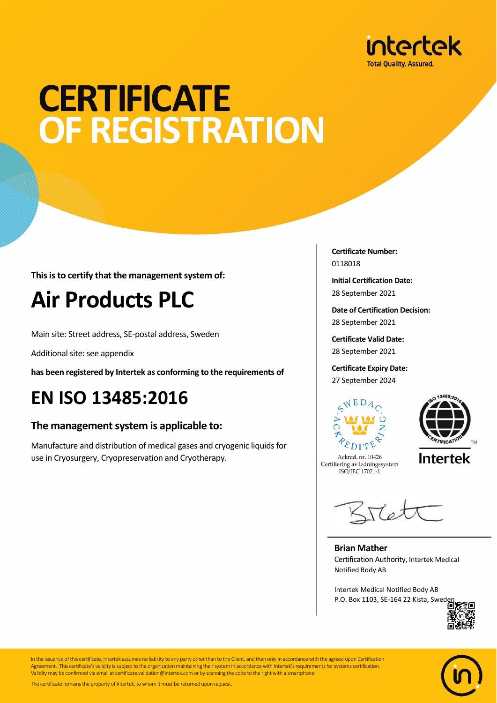

## **CERTIFICATE** OF REGISTRATION

**This is to certify that the management system of:**

## **Air Products PLC**

Main site: Street address, SE-postal address, Sweden

Additional site: see appendix

**has been registered by Intertek as conforming to the requirements of**

### **EN ISO 13485:2016**

#### **The management system is applicable to:**

Manufacture and distribution of medical gases and cryogenic liquids for use in Cryosurgery, Cryopreservation and Cryotherapy.

**Certificate Number:** 0118018

**Initial Certification Date:** 28 September 2021

**Date of Certification Decision:** 28 September 2021

**Certificate Valid Date:** 28 September 2021

**Certificate Expiry Date:** 27 September 2024





Ackred. nr. 10426 Certifiering av ledningssystem ISO/IEC 17021-1

**Intertek** 

Kret

**Brian Mather** Certification Authority, Intertek Medical Notified Body AB

Intertek Medical Notified Body AB P.O. Box 1103, SE-164 22 Kista, Swed





In the issuance of this certificate, Intertek assumes no liability to any party other than to the Client, and then only in accordance with the agreed upon Certification Agreement. This certificate's validity is subject to the organization maintaining their system in accordance with Intertek's requirements for systems certification. Validity may be confirmed via email at certificate.validation@intertek.com or by scanning the code to the right with a smartphone.